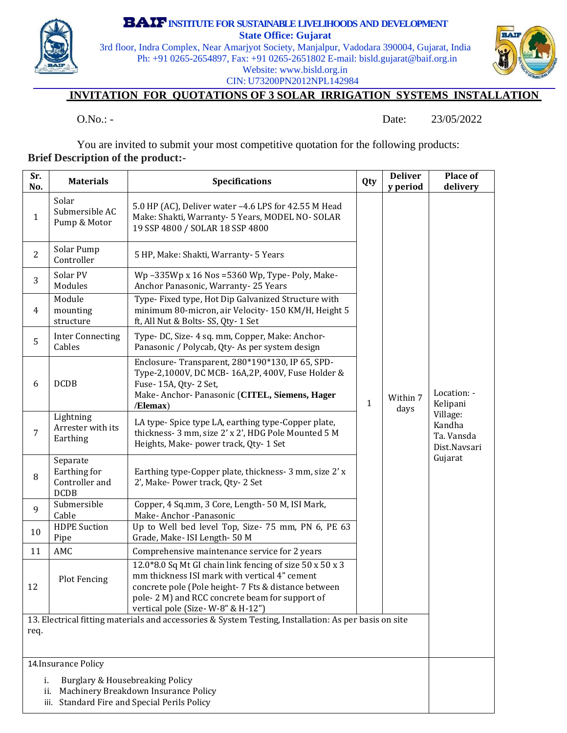

**INSTITUTEFOR SUSTAINABLELIVELIHOODS AND DEVELOPMENT**

**State Office: Gujarat**

3rd floor, Indra Complex, Near Amarjyot Society, Manjalpur, Vadodara 390004, Gujarat, India Ph: +91 0265-2654897, Fax: +91 0265-2651802 E-mail: bisld.gujarat@baif.org.in Website: www.bisld.org.in CIN: U73200PN2012NPL142984



## **INVITATION FOR QUOTATIONS OF 3 SOLAR IRRIGATION SYSTEMS INSTALLATION**

O.No.: - Date: 23/05/2022

You are invited to submit your most competitive quotation for the following products: **Brief Description of the product:-** 

| Sr.<br>No.                                                                                                                                         | <b>Materials</b>                                          | <b>Specifications</b>                                                                                                                                                                                                                                    |   | <b>Deliver</b><br>y period | <b>Place of</b><br>delivery                                                            |  |
|----------------------------------------------------------------------------------------------------------------------------------------------------|-----------------------------------------------------------|----------------------------------------------------------------------------------------------------------------------------------------------------------------------------------------------------------------------------------------------------------|---|----------------------------|----------------------------------------------------------------------------------------|--|
| 1                                                                                                                                                  | Solar<br>Submersible AC<br>Pump & Motor                   | 5.0 HP (AC), Deliver water -4.6 LPS for 42.55 M Head<br>Make: Shakti, Warranty- 5 Years, MODEL NO-SOLAR<br>19 SSP 4800 / SOLAR 18 SSP 4800                                                                                                               |   |                            |                                                                                        |  |
| $\overline{2}$                                                                                                                                     | Solar Pump<br>Controller                                  | 5 HP, Make: Shakti, Warranty- 5 Years                                                                                                                                                                                                                    |   |                            |                                                                                        |  |
| 3                                                                                                                                                  | Solar PV<br>Modules                                       | Wp-335Wp x 16 Nos = $5360$ Wp, Type-Poly, Make-<br>Anchor Panasonic, Warranty-25 Years                                                                                                                                                                   |   | Within 7<br>days           | Location: -<br>Kelipani<br>Village:<br>Kandha<br>Ta. Vansda<br>Dist.Navsari<br>Gujarat |  |
| 4                                                                                                                                                  | Module<br>mounting<br>structure                           | Type- Fixed type, Hot Dip Galvanized Structure with<br>minimum 80-micron, air Velocity-150 KM/H, Height 5<br>ft, All Nut & Bolts-SS, Qty-1 Set                                                                                                           |   |                            |                                                                                        |  |
| 5                                                                                                                                                  | <b>Inter Connecting</b><br>Cables                         | Type- DC, Size- 4 sq. mm, Copper, Make: Anchor-<br>Panasonic / Polycab, Qty- As per system design                                                                                                                                                        |   |                            |                                                                                        |  |
| 6                                                                                                                                                  | <b>DCDB</b>                                               | Enclosure-Transparent, 280*190*130, IP 65, SPD-<br>Type-2,1000V, DC MCB-16A,2P, 400V, Fuse Holder &<br>Fuse- 15A, Qty- 2 Set,<br>Make- Anchor- Panasonic (CITEL, Siemens, Hager<br>/Elemax)                                                              | 1 |                            |                                                                                        |  |
| $\overline{7}$                                                                                                                                     | Lightning<br>Arrester with its<br>Earthing                | LA type-Spice type LA, earthing type-Copper plate,<br>thickness-3 mm, size 2' x 2', HDG Pole Mounted 5 M<br>Heights, Make- power track, Qty- 1 Set                                                                                                       |   |                            |                                                                                        |  |
| 8                                                                                                                                                  | Separate<br>Earthing for<br>Controller and<br><b>DCDB</b> | Earthing type-Copper plate, thickness- 3 mm, size 2' x<br>2', Make-Power track, Qty-2 Set                                                                                                                                                                |   |                            |                                                                                        |  |
| 9                                                                                                                                                  | Submersible<br>Cable                                      | Copper, 4 Sq.mm, 3 Core, Length- 50 M, ISI Mark,<br>Make-Anchor-Panasonic                                                                                                                                                                                |   |                            |                                                                                        |  |
| $10\,$                                                                                                                                             | <b>HDPE</b> Suction<br>Pipe                               | Up to Well bed level Top, Size- 75 mm, PN 6, PE 63<br>Grade, Make- ISI Length- 50 M                                                                                                                                                                      |   |                            |                                                                                        |  |
| 11                                                                                                                                                 | AMC                                                       | Comprehensive maintenance service for 2 years                                                                                                                                                                                                            |   |                            |                                                                                        |  |
| 12                                                                                                                                                 | <b>Plot Fencing</b>                                       | 12.0*8.0 Sq Mt GI chain link fencing of size 50 x 50 x 3<br>mm thickness ISI mark with vertical 4" cement<br>concrete pole (Pole height- 7 Fts & distance between<br>pole-2 M) and RCC concrete beam for support of<br>vertical pole (Size-W-8" & H-12") |   |                            |                                                                                        |  |
| 13. Electrical fitting materials and accessories & System Testing, Installation: As per basis on site                                              |                                                           |                                                                                                                                                                                                                                                          |   |                            |                                                                                        |  |
| req.                                                                                                                                               |                                                           |                                                                                                                                                                                                                                                          |   |                            |                                                                                        |  |
| 14. Insurance Policy                                                                                                                               |                                                           |                                                                                                                                                                                                                                                          |   |                            |                                                                                        |  |
| <b>Burglary &amp; Housebreaking Policy</b><br>i.<br>Machinery Breakdown Insurance Policy<br>ii.<br>Standard Fire and Special Perils Policy<br>iii. |                                                           |                                                                                                                                                                                                                                                          |   |                            |                                                                                        |  |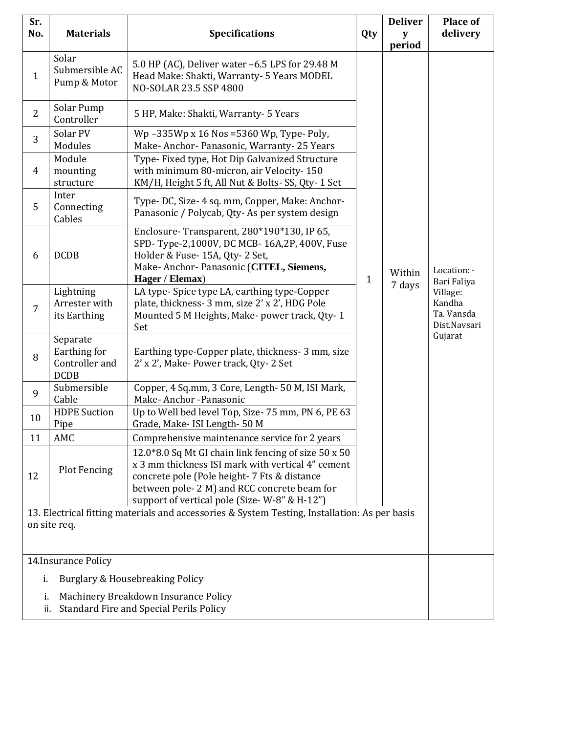| Sr.<br>No.                                                                                                    | <b>Materials</b>                                          | <b>Specifications</b>                                                                                                                                                                                                                                     | Qty          | <b>Deliver</b><br>y<br>period | <b>Place of</b><br>delivery                                                               |  |
|---------------------------------------------------------------------------------------------------------------|-----------------------------------------------------------|-----------------------------------------------------------------------------------------------------------------------------------------------------------------------------------------------------------------------------------------------------------|--------------|-------------------------------|-------------------------------------------------------------------------------------------|--|
| $\mathbf{1}$                                                                                                  | Solar<br>Submersible AC<br>Pump & Motor                   | 5.0 HP (AC), Deliver water -6.5 LPS for 29.48 M<br>Head Make: Shakti, Warranty- 5 Years MODEL<br>NO-SOLAR 23.5 SSP 4800                                                                                                                                   |              |                               | Location: -<br>Bari Faliya<br>Village:<br>Kandha<br>Ta. Vansda<br>Dist.Navsari<br>Gujarat |  |
| $\overline{2}$                                                                                                | Solar Pump<br>Controller                                  | 5 HP, Make: Shakti, Warranty- 5 Years                                                                                                                                                                                                                     |              |                               |                                                                                           |  |
| 3                                                                                                             | Solar PV<br>Modules                                       | Wp-335Wp x 16 Nos = 5360 Wp, Type-Poly,<br>Make- Anchor- Panasonic, Warranty- 25 Years                                                                                                                                                                    |              |                               |                                                                                           |  |
| 4                                                                                                             | Module<br>mounting<br>structure                           | Type- Fixed type, Hot Dip Galvanized Structure<br>with minimum 80-micron, air Velocity-150<br>KM/H, Height 5 ft, All Nut & Bolts- SS, Qty- 1 Set                                                                                                          |              |                               |                                                                                           |  |
| 5                                                                                                             | Inter<br>Connecting<br>Cables                             | Type- DC, Size- 4 sq. mm, Copper, Make: Anchor-<br>Panasonic / Polycab, Qty-As per system design                                                                                                                                                          |              |                               |                                                                                           |  |
| 6                                                                                                             | <b>DCDB</b>                                               | Enclosure-Transparent, 280*190*130, IP 65,<br>SPD-Type-2,1000V, DC MCB-16A,2P, 400V, Fuse<br>Holder & Fuse- 15A, Qty-2 Set,<br>Make-Anchor-Panasonic (CITEL, Siemens,<br>Hager / Elemax)                                                                  | $\mathbf{1}$ | Within<br>7 days              |                                                                                           |  |
| $\overline{7}$                                                                                                | Lightning<br>Arrester with<br>its Earthing                | LA type-Spice type LA, earthing type-Copper<br>plate, thickness- 3 mm, size 2' x 2', HDG Pole<br>Mounted 5 M Heights, Make- power track, Qty-1<br>Set                                                                                                     |              |                               |                                                                                           |  |
| 8                                                                                                             | Separate<br>Earthing for<br>Controller and<br><b>DCDB</b> | Earthing type-Copper plate, thickness- 3 mm, size<br>2' x 2', Make- Power track, Qty-2 Set                                                                                                                                                                |              |                               |                                                                                           |  |
| 9                                                                                                             | Submersible<br>Cable                                      | Copper, 4 Sq.mm, 3 Core, Length- 50 M, ISI Mark,<br>Make-Anchor-Panasonic                                                                                                                                                                                 |              |                               |                                                                                           |  |
| 10                                                                                                            | <b>HDPE</b> Suction<br>Pipe                               | Up to Well bed level Top, Size-75 mm, PN 6, PE 63<br>Grade, Make- ISI Length- 50 M                                                                                                                                                                        |              |                               |                                                                                           |  |
| 11                                                                                                            | AMC                                                       | Comprehensive maintenance service for 2 years                                                                                                                                                                                                             |              |                               |                                                                                           |  |
| 12                                                                                                            | <b>Plot Fencing</b>                                       | 12.0*8.0 Sq Mt GI chain link fencing of size 50 x 50<br>x 3 mm thickness ISI mark with vertical 4" cement<br>concrete pole (Pole height- 7 Fts & distance<br>between pole- 2 M) and RCC concrete beam for<br>support of vertical pole (Size-W-8" & H-12") |              |                               |                                                                                           |  |
| 13. Electrical fitting materials and accessories & System Testing, Installation: As per basis<br>on site req. |                                                           |                                                                                                                                                                                                                                                           |              |                               |                                                                                           |  |
| 14. Insurance Policy                                                                                          |                                                           |                                                                                                                                                                                                                                                           |              |                               |                                                                                           |  |
| Burglary & Housebreaking Policy<br>i.                                                                         |                                                           |                                                                                                                                                                                                                                                           |              |                               |                                                                                           |  |
| Machinery Breakdown Insurance Policy<br>i.<br>Standard Fire and Special Perils Policy<br>ii.                  |                                                           |                                                                                                                                                                                                                                                           |              |                               |                                                                                           |  |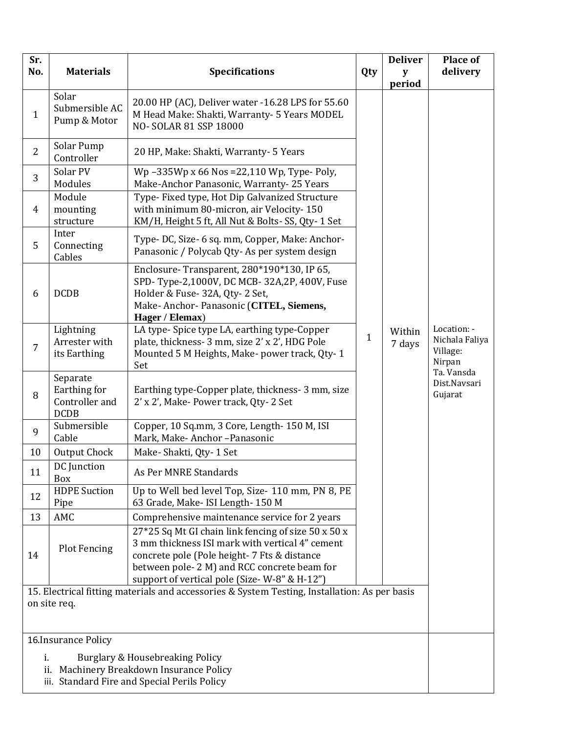| Sr.<br>No.                                                                                     | <b>Materials</b>                                          | <b>Specifications</b>                                                                                                                                                                                                                                | Qty          | <b>Deliver</b><br>y | Place of<br>delivery                                |  |  |
|------------------------------------------------------------------------------------------------|-----------------------------------------------------------|------------------------------------------------------------------------------------------------------------------------------------------------------------------------------------------------------------------------------------------------------|--------------|---------------------|-----------------------------------------------------|--|--|
| $\mathbf{1}$                                                                                   | Solar<br>Submersible AC<br>Pump & Motor                   | 20.00 HP (AC), Deliver water -16.28 LPS for 55.60<br>M Head Make: Shakti, Warranty- 5 Years MODEL<br>NO-SOLAR 81 SSP 18000                                                                                                                           |              | period              |                                                     |  |  |
| $\overline{2}$                                                                                 | Solar Pump<br>Controller                                  | 20 HP, Make: Shakti, Warranty- 5 Years                                                                                                                                                                                                               |              |                     |                                                     |  |  |
| 3                                                                                              | Solar PV<br>Modules                                       | Wp-335Wp x 66 Nos = 22,110 Wp, Type-Poly,<br>Make-Anchor Panasonic, Warranty- 25 Years                                                                                                                                                               |              |                     |                                                     |  |  |
| 4                                                                                              | Module<br>mounting<br>structure                           | Type- Fixed type, Hot Dip Galvanized Structure<br>with minimum 80-micron, air Velocity-150<br>KM/H, Height 5 ft, All Nut & Bolts-SS, Qty-1 Set                                                                                                       |              |                     |                                                     |  |  |
| 5                                                                                              | Inter<br>Connecting<br>Cables                             | Type- DC, Size- 6 sq. mm, Copper, Make: Anchor-<br>Panasonic / Polycab Qty- As per system design                                                                                                                                                     |              |                     |                                                     |  |  |
| 6                                                                                              | <b>DCDB</b>                                               | Enclosure-Transparent, 280*190*130, IP 65,<br>SPD-Type-2,1000V, DC MCB-32A,2P, 400V, Fuse<br>Holder & Fuse- 32A, Qty-2 Set,<br>Make-Anchor-Panasonic (CITEL, Siemens,<br>Hager / Elemax)                                                             |              |                     |                                                     |  |  |
| 7                                                                                              | Lightning<br>Arrester with<br>its Earthing                | LA type- Spice type LA, earthing type-Copper<br>plate, thickness- 3 mm, size 2' x 2', HDG Pole<br>Mounted 5 M Heights, Make- power track, Qty-1<br>Set                                                                                               | $\mathbf{1}$ | Within<br>7 days    | Location: -<br>Nichala Faliya<br>Village:<br>Nirpan |  |  |
| 8                                                                                              | Separate<br>Earthing for<br>Controller and<br><b>DCDB</b> | Earthing type-Copper plate, thickness- 3 mm, size<br>2' x 2', Make- Power track, Qty-2 Set                                                                                                                                                           |              |                     | Ta. Vansda<br>Dist.Navsari<br>Gujarat               |  |  |
| 9                                                                                              | Submersible<br>Cable                                      | Copper, 10 Sq.mm, 3 Core, Length- 150 M, ISI<br>Mark, Make-Anchor-Panasonic                                                                                                                                                                          |              |                     |                                                     |  |  |
| 10                                                                                             | <b>Output Chock</b>                                       | Make-Shakti, Qty-1 Set                                                                                                                                                                                                                               |              |                     |                                                     |  |  |
| 11                                                                                             | DC Junction<br>Box                                        | As Per MNRE Standards                                                                                                                                                                                                                                |              |                     |                                                     |  |  |
| 12                                                                                             | <b>HDPE</b> Suction<br>Pipe                               | Up to Well bed level Top, Size- 110 mm, PN 8, PE<br>63 Grade, Make- ISI Length- 150 M                                                                                                                                                                |              |                     |                                                     |  |  |
| 13                                                                                             | AMC                                                       | Comprehensive maintenance service for 2 years                                                                                                                                                                                                        |              |                     |                                                     |  |  |
| 14                                                                                             | <b>Plot Fencing</b>                                       | 27*25 Sq Mt GI chain link fencing of size 50 x 50 x<br>3 mm thickness ISI mark with vertical 4" cement<br>concrete pole (Pole height-7 Fts & distance<br>between pole-2 M) and RCC concrete beam for<br>support of vertical pole (Size-W-8" & H-12") |              |                     |                                                     |  |  |
| 15. Electrical fitting materials and accessories & System Testing, Installation: As per basis  |                                                           |                                                                                                                                                                                                                                                      |              |                     |                                                     |  |  |
| on site req.                                                                                   |                                                           |                                                                                                                                                                                                                                                      |              |                     |                                                     |  |  |
|                                                                                                |                                                           |                                                                                                                                                                                                                                                      |              |                     |                                                     |  |  |
| 16. Insurance Policy                                                                           |                                                           |                                                                                                                                                                                                                                                      |              |                     |                                                     |  |  |
| i.<br>Burglary & Housebreaking Policy                                                          |                                                           |                                                                                                                                                                                                                                                      |              |                     |                                                     |  |  |
| Machinery Breakdown Insurance Policy<br>ii.<br>Standard Fire and Special Perils Policy<br>iii. |                                                           |                                                                                                                                                                                                                                                      |              |                     |                                                     |  |  |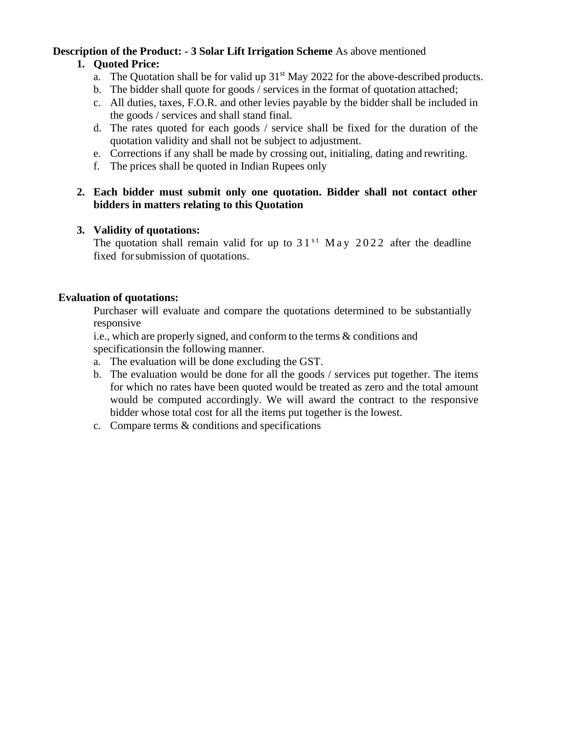# **Description of the Product: - 3 Solar Lift Irrigation Scheme** As above mentioned

# **1. Quoted Price:**

- a. The Quotation shall be for valid up  $31<sup>st</sup>$  May 2022 for the above-described products.
- b. The bidder shall quote for goods / services in the format of quotation attached;
- c. All duties, taxes, F.O.R. and other levies payable by the bidder shall be included in the goods / services and shall stand final.
- d. The rates quoted for each goods / service shall be fixed for the duration of the quotation validity and shall not be subject to adjustment.
- e. Corrections if any shall be made by crossing out, initialing, dating and rewriting.
- f. The prices shall be quoted in Indian Rupees only

### **2. Each bidder must submit only one quotation. Bidder shall not contact other bidders in matters relating to this Quotation**

### **3. Validity of quotations:**

The quotation shall remain valid for up to  $31<sup>st</sup>$  M a y 2022 after the deadline fixed for submission of quotations.

## **Evaluation of quotations:**

Purchaser will evaluate and compare the quotations determined to be substantially responsive

i.e., which are properly signed, and conform to the terms & conditions and specificationsin the following manner.

- a. The evaluation will be done excluding the GST.
- b. The evaluation would be done for all the goods / services put together. The items for which no rates have been quoted would be treated as zero and the total amount would be computed accordingly. We will award the contract to the responsive bidder whose total cost for all the items put together is the lowest.
- c. Compare terms & conditions and specifications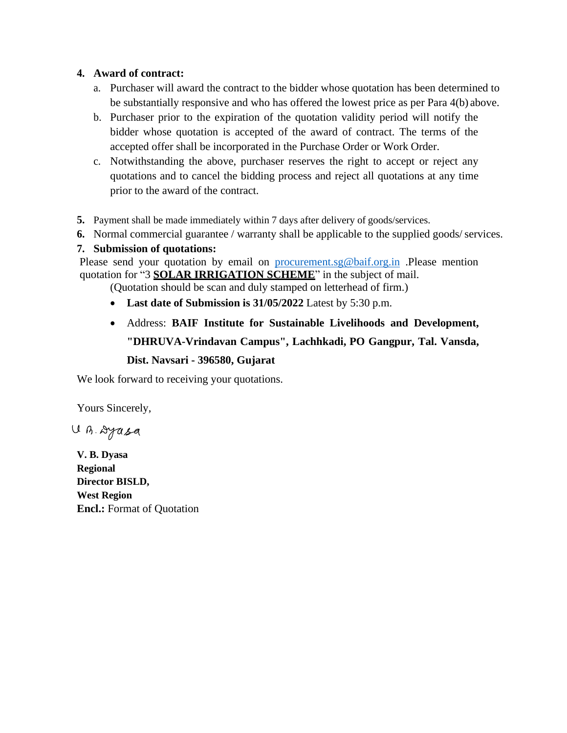#### **4. Award of contract:**

- a. Purchaser will award the contract to the bidder whose quotation has been determined to be substantially responsive and who has offered the lowest price as per Para 4(b) above.
- b. Purchaser prior to the expiration of the quotation validity period will notify the bidder whose quotation is accepted of the award of contract. The terms of the accepted offer shall be incorporated in the Purchase Order or Work Order.
- c. Notwithstanding the above, purchaser reserves the right to accept or reject any quotations and to cancel the bidding process and reject all quotations at any time prior to the award of the contract.
- **5.** Payment shall be made immediately within 7 days after delivery of goods/services.
- **6.** Normal commercial guarantee / warranty shall be applicable to the supplied goods/services.

### **7. Submission of quotations:**

Please send your quotation by email on procurement.sg@baif.org.in .Please mention quotation for "3 **SOLAR IRRIGATION SCHEME**" in the subject of mail.

- (Quotation should be scan and duly stamped on letterhead of firm.)
- **Last date of Submission is 31/05/2022** Latest by 5:30 p.m.
- Address: **BAIF Institute for Sustainable Livelihoods and Development, "DHRUVA-Vrindavan Campus", Lachhkadi, PO Gangpur, Tal. Vansda, Dist. Navsari - 396580, Gujarat**

We look forward to receiving your quotations.

Yours Sincerely,

U.B. Dyasa

**V. B. Dyasa Regional Director BISLD, West Region Encl.:** Format of Quotation